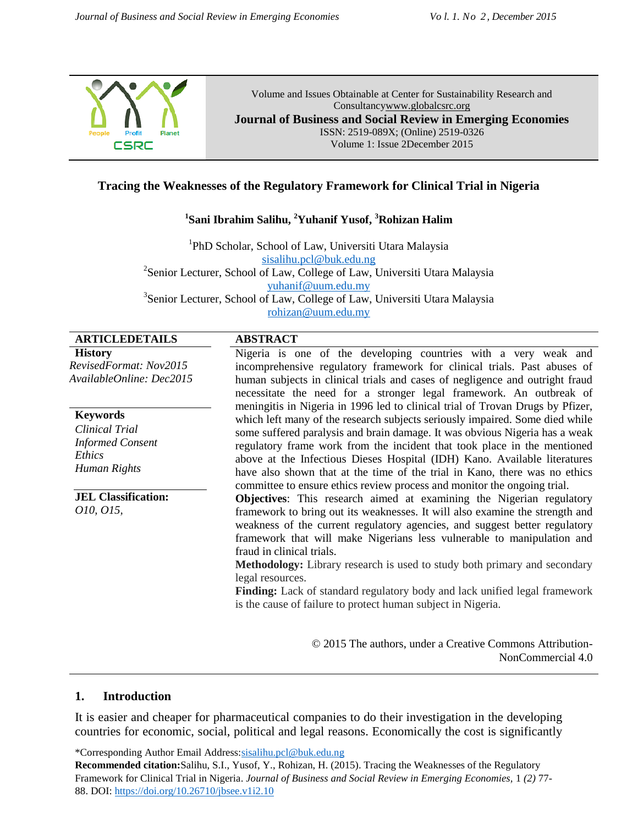

#### **Tracing the Weaknesses of the Regulatory Framework for Clinical Trial in Nigeria**

#### **1 Sani Ibrahim Salihu, <sup>2</sup>Yuhanif Yusof, <sup>3</sup>Rohizan Halim**

<sup>1</sup>PhD Scholar, School of Law, Universiti Utara Malaysia [sisalihu.pcl@buk.edu.ng](mailto:sisalihu.pcl@buk.edu.ng) <sup>2</sup>Senior Lecturer, School of Law, College of Law, Universiti Utara Malaysia [yuhanif@uum.edu.my](mailto:yuhanif@uum.edu.my) <sup>3</sup>Senior Lecturer, School of Law, College of Law, Universiti Utara Malaysia [rohizan@uum.edu.my](mailto:rohizan@uum.edu.my)

#### **ARTICLEDETAILS ABSTRACT**

**History** *RevisedFormat: Nov2015 AvailableOnline: Dec2015*

**Keywords** *Clinical Trial Informed Consent Ethics Human Rights*

**JEL Classification:** *O10, O15,*

Nigeria is one of the developing countries with a very weak and incomprehensive regulatory framework for clinical trials. Past abuses of human subjects in clinical trials and cases of negligence and outright fraud necessitate the need for a stronger legal framework. An outbreak of meningitis in Nigeria in 1996 led to clinical trial of Trovan Drugs by Pfizer, which left many of the research subjects seriously impaired. Some died while some suffered paralysis and brain damage. It was obvious Nigeria has a weak regulatory frame work from the incident that took place in the mentioned above at the Infectious Dieses Hospital (IDH) Kano. Available literatures have also shown that at the time of the trial in Kano, there was no ethics committee to ensure ethics review process and monitor the ongoing trial.

**Objectives**: This research aimed at examining the Nigerian regulatory framework to bring out its weaknesses. It will also examine the strength and weakness of the current regulatory agencies, and suggest better regulatory framework that will make Nigerians less vulnerable to manipulation and fraud in clinical trials.

**Methodology:** Library research is used to study both primary and secondary legal resources.

**Finding:** Lack of standard regulatory body and lack unified legal framework is the cause of failure to protect human subject in Nigeria.

> © 2015 The authors, under a Creative Commons Attribution-NonCommercial 4.0

#### **1. Introduction**

It is easier and cheaper for pharmaceutical companies to do their investigation in the developing countries for economic, social, political and legal reasons. Economically the cost is significantly

\*Corresponding Author Email Address:sisalihu.pcl@buk.edu.ng **Recommended citation:**Salihu, S.I., Yusof, Y., Rohizan, H. (2015). Tracing the Weaknesses of the Regulatory Framework for Clinical Trial in Nigeria. *Journal of Business and Social Review in Emerging Economies,* 1 *(2)* 77- 88. DOI: https://doi.org/10.26710/jbsee.v1i2.10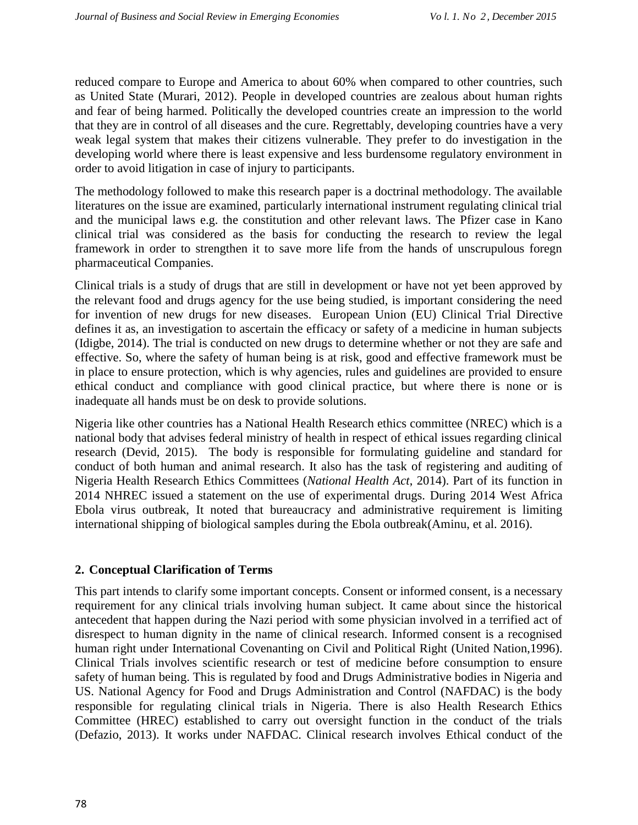reduced compare to Europe and America to about 60% when compared to other countries, such as United State (Murari, 2012). People in developed countries are zealous about human rights and fear of being harmed. Politically the developed countries create an impression to the world that they are in control of all diseases and the cure. Regrettably, developing countries have a very weak legal system that makes their citizens vulnerable. They prefer to do investigation in the developing world where there is least expensive and less burdensome regulatory environment in order to avoid litigation in case of injury to participants.

The methodology followed to make this research paper is a doctrinal methodology. The available literatures on the issue are examined, particularly international instrument regulating clinical trial and the municipal laws e.g. the constitution and other relevant laws. The Pfizer case in Kano clinical trial was considered as the basis for conducting the research to review the legal framework in order to strengthen it to save more life from the hands of unscrupulous foregn pharmaceutical Companies.

Clinical trials is a study of drugs that are still in development or have not yet been approved by the relevant food and drugs agency for the use being studied, is important considering the need for invention of new drugs for new diseases. European Union (EU) Clinical Trial Directive defines it as, an investigation to ascertain the efficacy or safety of a medicine in human subjects (Idigbe, 2014). The trial is conducted on new drugs to determine whether or not they are safe and effective. So, where the safety of human being is at risk, good and effective framework must be in place to ensure protection, which is why agencies, rules and guidelines are provided to ensure ethical conduct and compliance with good clinical practice, but where there is none or is inadequate all hands must be on desk to provide solutions.

Nigeria like other countries has a National Health Research ethics committee (NREC) which is a national body that advises federal ministry of health in respect of ethical issues regarding clinical research (Devid, 2015). The body is responsible for formulating guideline and standard for conduct of both human and animal research. It also has the task of registering and auditing of Nigeria Health Research Ethics Committees (*National Health Act*, 2014). Part of its function in 2014 NHREC issued a statement on the use of experimental drugs. During 2014 West Africa Ebola virus outbreak, It noted that bureaucracy and administrative requirement is limiting international shipping of biological samples during the Ebola outbreak(Aminu, et al. 2016).

# **2. Conceptual Clarification of Terms**

This part intends to clarify some important concepts. Consent or informed consent, is a necessary requirement for any clinical trials involving human subject. It came about since the historical antecedent that happen during the Nazi period with some physician involved in a terrified act of disrespect to human dignity in the name of clinical research. Informed consent is a recognised human right under International Covenanting on Civil and Political Right (United Nation,1996). Clinical Trials involves scientific research or test of medicine before consumption to ensure safety of human being. This is regulated by food and Drugs Administrative bodies in Nigeria and US. National Agency for Food and Drugs Administration and Control (NAFDAC) is the body responsible for regulating clinical trials in Nigeria. There is also Health Research Ethics Committee (HREC) established to carry out oversight function in the conduct of the trials (Defazio, 2013). It works under NAFDAC. Clinical research involves Ethical conduct of the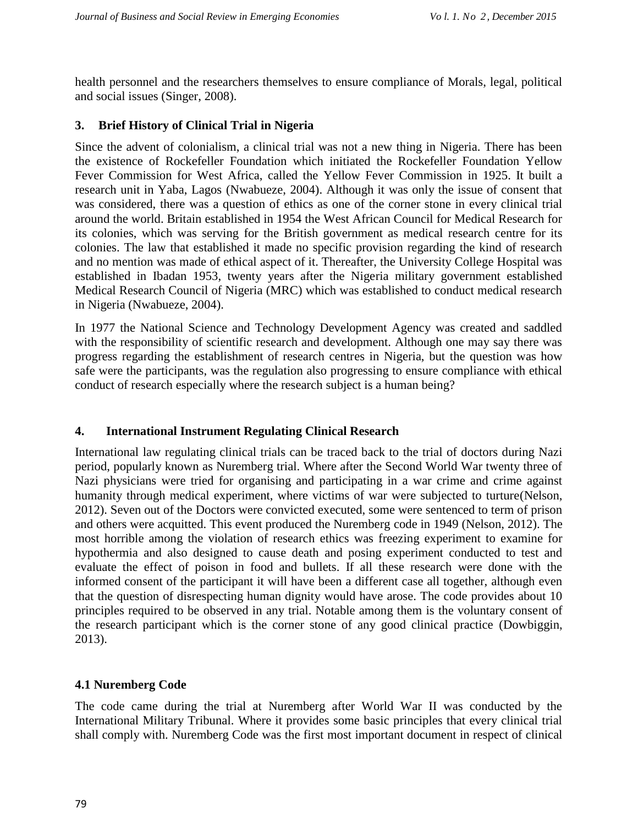health personnel and the researchers themselves to ensure compliance of Morals, legal, political and social issues (Singer, 2008).

## **3. Brief History of Clinical Trial in Nigeria**

Since the advent of colonialism, a clinical trial was not a new thing in Nigeria. There has been the existence of Rockefeller Foundation which initiated the Rockefeller Foundation Yellow Fever Commission for West Africa, called the Yellow Fever Commission in 1925. It built a research unit in Yaba, Lagos (Nwabueze, 2004). Although it was only the issue of consent that was considered, there was a question of ethics as one of the corner stone in every clinical trial around the world. Britain established in 1954 the West African Council for Medical Research for its colonies, which was serving for the British government as medical research centre for its colonies. The law that established it made no specific provision regarding the kind of research and no mention was made of ethical aspect of it. Thereafter, the University College Hospital was established in Ibadan 1953, twenty years after the Nigeria military government established Medical Research Council of Nigeria (MRC) which was established to conduct medical research in Nigeria (Nwabueze, 2004).

In 1977 the National Science and Technology Development Agency was created and saddled with the responsibility of scientific research and development. Although one may say there was progress regarding the establishment of research centres in Nigeria, but the question was how safe were the participants, was the regulation also progressing to ensure compliance with ethical conduct of research especially where the research subject is a human being?

#### **4. International Instrument Regulating Clinical Research**

International law regulating clinical trials can be traced back to the trial of doctors during Nazi period, popularly known as Nuremberg trial. Where after the Second World War twenty three of Nazi physicians were tried for organising and participating in a war crime and crime against humanity through medical experiment, where victims of war were subjected to turture(Nelson, 2012). Seven out of the Doctors were convicted executed, some were sentenced to term of prison and others were acquitted. This event produced the Nuremberg code in 1949 (Nelson, 2012). The most horrible among the violation of research ethics was freezing experiment to examine for hypothermia and also designed to cause death and posing experiment conducted to test and evaluate the effect of poison in food and bullets. If all these research were done with the informed consent of the participant it will have been a different case all together, although even that the question of disrespecting human dignity would have arose. The code provides about 10 principles required to be observed in any trial. Notable among them is the voluntary consent of the research participant which is the corner stone of any good clinical practice (Dowbiggin, 2013).

# **4.1 Nuremberg Code**

The code came during the trial at Nuremberg after World War II was conducted by the International Military Tribunal. Where it provides some basic principles that every clinical trial shall comply with. Nuremberg Code was the first most important document in respect of clinical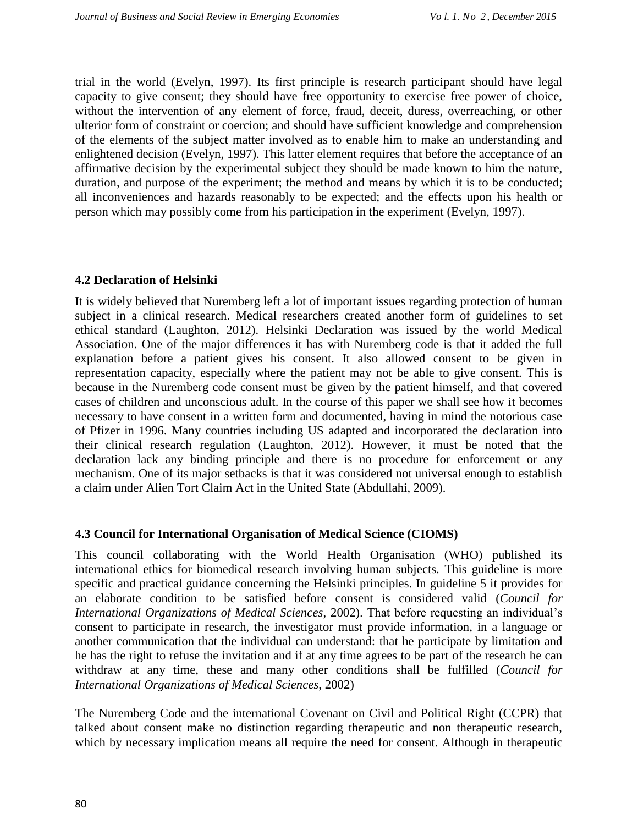trial in the world (Evelyn, 1997). Its first principle is research participant should have legal capacity to give consent; they should have free opportunity to exercise free power of choice, without the intervention of any element of force, fraud, deceit, duress, overreaching, or other ulterior form of constraint or coercion; and should have sufficient knowledge and comprehension of the elements of the subject matter involved as to enable him to make an understanding and enlightened decision (Evelyn, 1997). This latter element requires that before the acceptance of an affirmative decision by the experimental subject they should be made known to him the nature, duration, and purpose of the experiment; the method and means by which it is to be conducted; all inconveniences and hazards reasonably to be expected; and the effects upon his health or person which may possibly come from his participation in the experiment (Evelyn, 1997).

# **4.2 Declaration of Helsinki**

It is widely believed that Nuremberg left a lot of important issues regarding protection of human subject in a clinical research. Medical researchers created another form of guidelines to set ethical standard (Laughton, 2012). Helsinki Declaration was issued by the world Medical Association. One of the major differences it has with Nuremberg code is that it added the full explanation before a patient gives his consent. It also allowed consent to be given in representation capacity, especially where the patient may not be able to give consent. This is because in the Nuremberg code consent must be given by the patient himself, and that covered cases of children and unconscious adult. In the course of this paper we shall see how it becomes necessary to have consent in a written form and documented, having in mind the notorious case of Pfizer in 1996. Many countries including US adapted and incorporated the declaration into their clinical research regulation (Laughton, 2012). However, it must be noted that the declaration lack any binding principle and there is no procedure for enforcement or any mechanism. One of its major setbacks is that it was considered not universal enough to establish a claim under Alien Tort Claim Act in the United State (Abdullahi, 2009).

# **4.3 Council for International Organisation of Medical Science (CIOMS)**

This council collaborating with the World Health Organisation (WHO) published its international ethics for biomedical research involving human subjects. This guideline is more specific and practical guidance concerning the Helsinki principles. In guideline 5 it provides for an elaborate condition to be satisfied before consent is considered valid (*Council for International Organizations of Medical Sciences*, 2002). That before requesting an individual's consent to participate in research, the investigator must provide information, in a language or another communication that the individual can understand: that he participate by limitation and he has the right to refuse the invitation and if at any time agrees to be part of the research he can withdraw at any time, these and many other conditions shall be fulfilled (*Council for International Organizations of Medical Sciences*, 2002)

The Nuremberg Code and the international Covenant on Civil and Political Right (CCPR) that talked about consent make no distinction regarding therapeutic and non therapeutic research, which by necessary implication means all require the need for consent. Although in therapeutic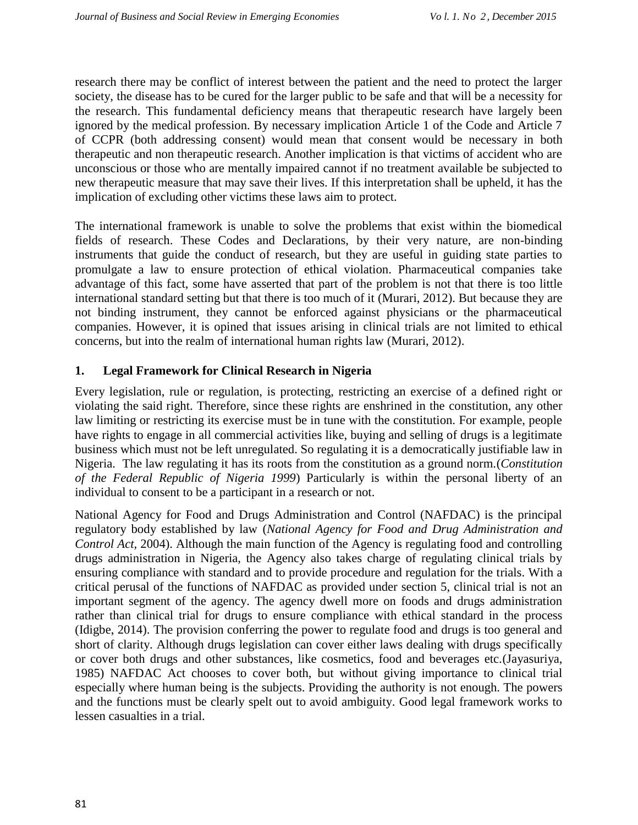research there may be conflict of interest between the patient and the need to protect the larger society, the disease has to be cured for the larger public to be safe and that will be a necessity for the research. This fundamental deficiency means that therapeutic research have largely been ignored by the medical profession. By necessary implication Article 1 of the Code and Article 7 of CCPR (both addressing consent) would mean that consent would be necessary in both therapeutic and non therapeutic research. Another implication is that victims of accident who are unconscious or those who are mentally impaired cannot if no treatment available be subjected to new therapeutic measure that may save their lives. If this interpretation shall be upheld, it has the implication of excluding other victims these laws aim to protect.

The international framework is unable to solve the problems that exist within the biomedical fields of research. These Codes and Declarations, by their very nature, are non-binding instruments that guide the conduct of research, but they are useful in guiding state parties to promulgate a law to ensure protection of ethical violation. Pharmaceutical companies take advantage of this fact, some have asserted that part of the problem is not that there is too little international standard setting but that there is too much of it (Murari, 2012). But because they are not binding instrument, they cannot be enforced against physicians or the pharmaceutical companies. However, it is opined that issues arising in clinical trials are not limited to ethical concerns, but into the realm of international human rights law (Murari, 2012).

# **1. Legal Framework for Clinical Research in Nigeria**

Every legislation, rule or regulation, is protecting, restricting an exercise of a defined right or violating the said right. Therefore, since these rights are enshrined in the constitution, any other law limiting or restricting its exercise must be in tune with the constitution. For example, people have rights to engage in all commercial activities like, buying and selling of drugs is a legitimate business which must not be left unregulated. So regulating it is a democratically justifiable law in Nigeria. The law regulating it has its roots from the constitution as a ground norm.(*Constitution of the Federal Republic of Nigeria 1999*) Particularly is within the personal liberty of an individual to consent to be a participant in a research or not.

National Agency for Food and Drugs Administration and Control (NAFDAC) is the principal regulatory body established by law (*National Agency for Food and Drug Administration and Control Act*, 2004). Although the main function of the Agency is regulating food and controlling drugs administration in Nigeria, the Agency also takes charge of regulating clinical trials by ensuring compliance with standard and to provide procedure and regulation for the trials. With a critical perusal of the functions of NAFDAC as provided under section 5, clinical trial is not an important segment of the agency. The agency dwell more on foods and drugs administration rather than clinical trial for drugs to ensure compliance with ethical standard in the process (Idigbe, 2014). The provision conferring the power to regulate food and drugs is too general and short of clarity. Although drugs legislation can cover either laws dealing with drugs specifically or cover both drugs and other substances, like cosmetics, food and beverages etc.(Jayasuriya, 1985) NAFDAC Act chooses to cover both, but without giving importance to clinical trial especially where human being is the subjects. Providing the authority is not enough. The powers and the functions must be clearly spelt out to avoid ambiguity. Good legal framework works to lessen casualties in a trial.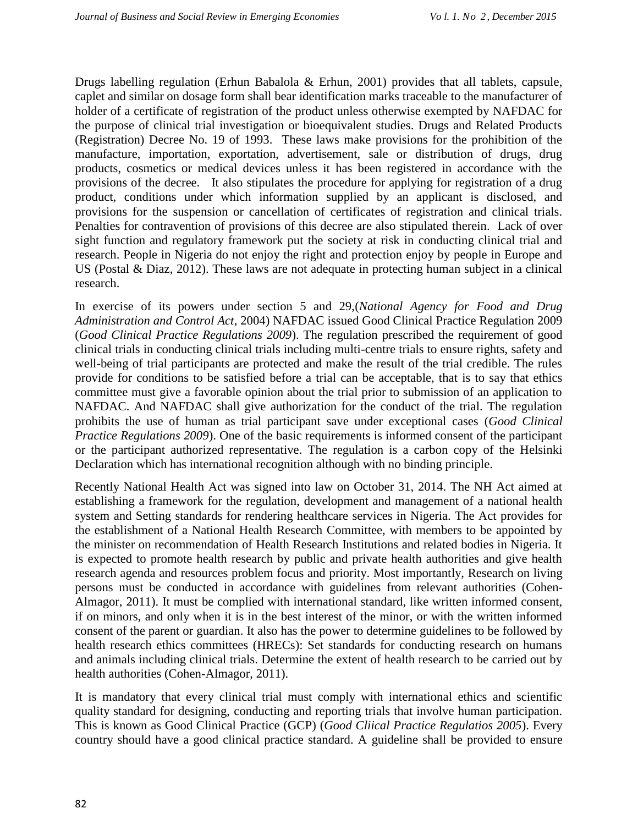Drugs labelling regulation (Erhun Babalola & Erhun, 2001) provides that all tablets, capsule, caplet and similar on dosage form shall bear identification marks traceable to the manufacturer of holder of a certificate of registration of the product unless otherwise exempted by NAFDAC for the purpose of clinical trial investigation or bioequivalent studies. Drugs and Related Products (Registration) Decree No. 19 of 1993. These laws make provisions for the prohibition of the manufacture, importation, exportation, advertisement, sale or distribution of drugs, drug products, cosmetics or medical devices unless it has been registered in accordance with the provisions of the decree. It also stipulates the procedure for applying for registration of a drug product, conditions under which information supplied by an applicant is disclosed, and provisions for the suspension or cancellation of certificates of registration and clinical trials. Penalties for contravention of provisions of this decree are also stipulated therein. Lack of over sight function and regulatory framework put the society at risk in conducting clinical trial and research. People in Nigeria do not enjoy the right and protection enjoy by people in Europe and US (Postal & Diaz, 2012). These laws are not adequate in protecting human subject in a clinical research.

In exercise of its powers under section 5 and 29,(*National Agency for Food and Drug Administration and Control Act*, 2004) NAFDAC issued Good Clinical Practice Regulation 2009 (*Good Clinical Practice Regulations 2009*). The regulation prescribed the requirement of good clinical trials in conducting clinical trials including multi-centre trials to ensure rights, safety and well-being of trial participants are protected and make the result of the trial credible. The rules provide for conditions to be satisfied before a trial can be acceptable, that is to say that ethics committee must give a favorable opinion about the trial prior to submission of an application to NAFDAC. And NAFDAC shall give authorization for the conduct of the trial. The regulation prohibits the use of human as trial participant save under exceptional cases (*Good Clinical Practice Regulations 2009*). One of the basic requirements is informed consent of the participant or the participant authorized representative. The regulation is a carbon copy of the Helsinki Declaration which has international recognition although with no binding principle.

Recently National Health Act was signed into law on October 31, 2014. The NH Act aimed at establishing a framework for the regulation, development and management of a national health system and Setting standards for rendering healthcare services in Nigeria. The Act provides for the establishment of a National Health Research Committee, with members to be appointed by the minister on recommendation of Health Research Institutions and related bodies in Nigeria. It is expected to promote health research by public and private health authorities and give health research agenda and resources problem focus and priority. Most importantly, Research on living persons must be conducted in accordance with guidelines from relevant authorities (Cohen-Almagor, 2011). It must be complied with international standard, like written informed consent, if on minors, and only when it is in the best interest of the minor, or with the written informed consent of the parent or guardian. It also has the power to determine guidelines to be followed by health research ethics committees (HRECs): Set standards for conducting research on humans and animals including clinical trials. Determine the extent of health research to be carried out by health authorities (Cohen-Almagor, 2011).

It is mandatory that every clinical trial must comply with international ethics and scientific quality standard for designing, conducting and reporting trials that involve human participation. This is known as Good Clinical Practice (GCP) (*Good Cliical Practice Regulatios 2005*). Every country should have a good clinical practice standard. A guideline shall be provided to ensure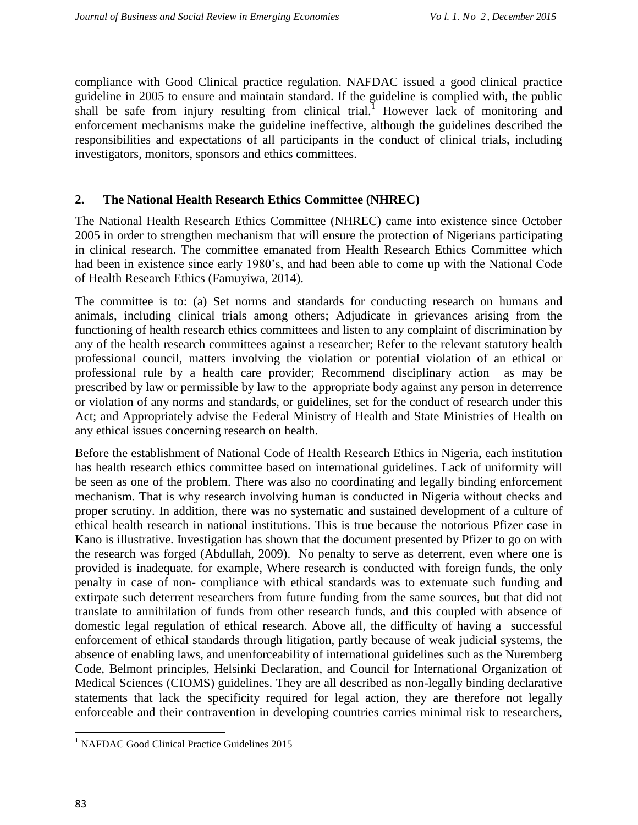compliance with Good Clinical practice regulation. NAFDAC issued a good clinical practice guideline in 2005 to ensure and maintain standard. If the guideline is complied with, the public shall be safe from injury resulting from clinical trial.<sup>1</sup> However lack of monitoring and enforcement mechanisms make the guideline ineffective, although the guidelines described the responsibilities and expectations of all participants in the conduct of clinical trials, including investigators, monitors, sponsors and ethics committees.

## **2. The National Health Research Ethics Committee (NHREC)**

The National Health Research Ethics Committee (NHREC) came into existence since October 2005 in order to strengthen mechanism that will ensure the protection of Nigerians participating in clinical research. The committee emanated from Health Research Ethics Committee which had been in existence since early 1980's, and had been able to come up with the National Code of Health Research Ethics (Famuyiwa, 2014).

The committee is to: (a) Set norms and standards for conducting research on humans and animals, including clinical trials among others; Adjudicate in grievances arising from the functioning of health research ethics committees and listen to any complaint of discrimination by any of the health research committees against a researcher; Refer to the relevant statutory health professional council, matters involving the violation or potential violation of an ethical or professional rule by a health care provider; Recommend disciplinary action as may be prescribed by law or permissible by law to the appropriate body against any person in deterrence or violation of any norms and standards, or guidelines, set for the conduct of research under this Act; and Appropriately advise the Federal Ministry of Health and State Ministries of Health on any ethical issues concerning research on health.

Before the establishment of National Code of Health Research Ethics in Nigeria, each institution has health research ethics committee based on international guidelines. Lack of uniformity will be seen as one of the problem. There was also no coordinating and legally binding enforcement mechanism. That is why research involving human is conducted in Nigeria without checks and proper scrutiny. In addition, there was no systematic and sustained development of a culture of ethical health research in national institutions. This is true because the notorious Pfizer case in Kano is illustrative. Investigation has shown that the document presented by Pfizer to go on with the research was forged (Abdullah, 2009). No penalty to serve as deterrent, even where one is provided is inadequate. for example, Where research is conducted with foreign funds, the only penalty in case of non- compliance with ethical standards was to extenuate such funding and extirpate such deterrent researchers from future funding from the same sources, but that did not translate to annihilation of funds from other research funds, and this coupled with absence of domestic legal regulation of ethical research. Above all, the difficulty of having a successful enforcement of ethical standards through litigation, partly because of weak judicial systems, the absence of enabling laws, and unenforceability of international guidelines such as the Nuremberg Code, Belmont principles, Helsinki Declaration, and Council for International Organization of Medical Sciences (CIOMS) guidelines. They are all described as non-legally binding declarative statements that lack the specificity required for legal action, they are therefore not legally enforceable and their contravention in developing countries carries minimal risk to researchers,

 $\overline{\phantom{a}}$ 

<sup>&</sup>lt;sup>1</sup> NAFDAC Good Clinical Practice Guidelines 2015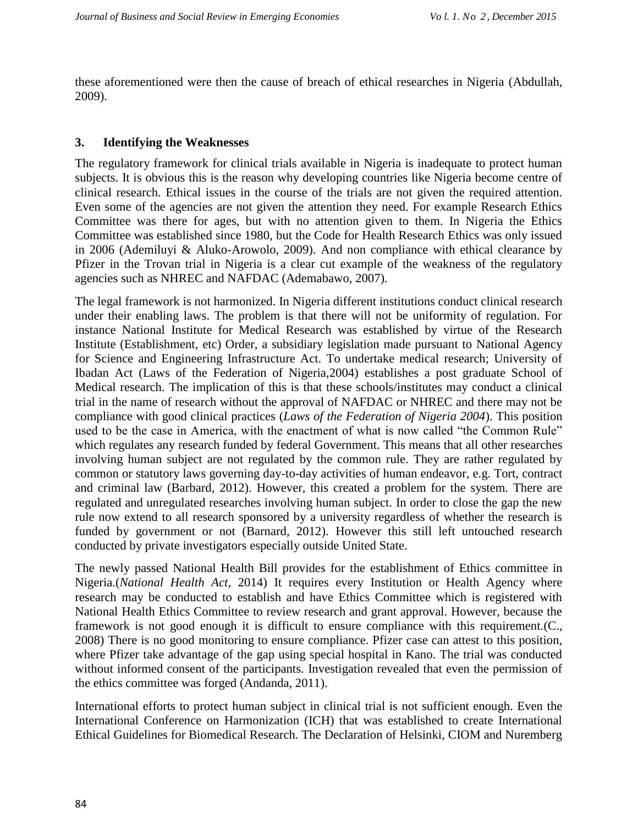these aforementioned were then the cause of breach of ethical researches in Nigeria (Abdullah, 2009).

## **3. Identifying the Weaknesses**

The regulatory framework for clinical trials available in Nigeria is inadequate to protect human subjects. It is obvious this is the reason why developing countries like Nigeria become centre of clinical research. Ethical issues in the course of the trials are not given the required attention. Even some of the agencies are not given the attention they need. For example Research Ethics Committee was there for ages, but with no attention given to them. In Nigeria the Ethics Committee was established since 1980, but the Code for Health Research Ethics was only issued in 2006 (Ademiluyi & Aluko-Arowolo, 2009). And non compliance with ethical clearance by Pfizer in the Trovan trial in Nigeria is a clear cut example of the weakness of the regulatory agencies such as NHREC and NAFDAC (Ademabawo, 2007).

The legal framework is not harmonized. In Nigeria different institutions conduct clinical research under their enabling laws. The problem is that there will not be uniformity of regulation. For instance National Institute for Medical Research was established by virtue of the Research Institute (Establishment, etc) Order, a subsidiary legislation made pursuant to National Agency for Science and Engineering Infrastructure Act. To undertake medical research; University of Ibadan Act (Laws of the Federation of Nigeria,2004) establishes a post graduate School of Medical research. The implication of this is that these schools/institutes may conduct a clinical trial in the name of research without the approval of NAFDAC or NHREC and there may not be compliance with good clinical practices (*Laws of the Federation of Nigeria 2004*). This position used to be the case in America, with the enactment of what is now called "the Common Rule" which regulates any research funded by federal Government. This means that all other researches involving human subject are not regulated by the common rule. They are rather regulated by common or statutory laws governing day-to-day activities of human endeavor, e.g. Tort, contract and criminal law (Barbard, 2012). However, this created a problem for the system. There are regulated and unregulated researches involving human subject. In order to close the gap the new rule now extend to all research sponsored by a university regardless of whether the research is funded by government or not (Barnard, 2012). However this still left untouched research conducted by private investigators especially outside United State.

The newly passed National Health Bill provides for the establishment of Ethics committee in Nigeria.(*National Health Act*, 2014) It requires every Institution or Health Agency where research may be conducted to establish and have Ethics Committee which is registered with National Health Ethics Committee to review research and grant approval. However, because the framework is not good enough it is difficult to ensure compliance with this requirement.(C., 2008) There is no good monitoring to ensure compliance. Pfizer case can attest to this position, where Pfizer take advantage of the gap using special hospital in Kano. The trial was conducted without informed consent of the participants. Investigation revealed that even the permission of the ethics committee was forged (Andanda, 2011).

International efforts to protect human subject in clinical trial is not sufficient enough. Even the International Conference on Harmonization (ICH) that was established to create International Ethical Guidelines for Biomedical Research. The Declaration of Helsinki, CIOM and Nuremberg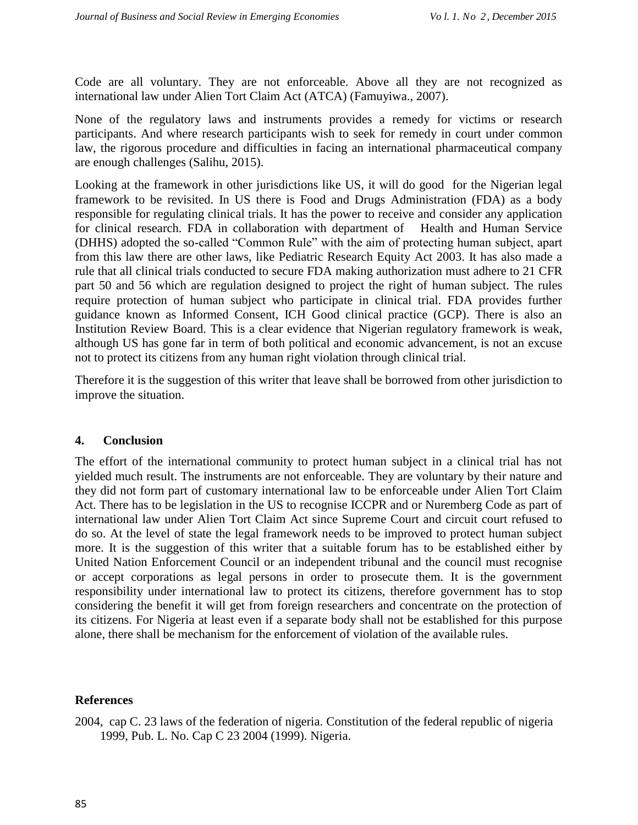Code are all voluntary. They are not enforceable. Above all they are not recognized as international law under Alien Tort Claim Act (ATCA) (Famuyiwa., 2007).

None of the regulatory laws and instruments provides a remedy for victims or research participants. And where research participants wish to seek for remedy in court under common law, the rigorous procedure and difficulties in facing an international pharmaceutical company are enough challenges (Salihu, 2015).

Looking at the framework in other jurisdictions like US, it will do good for the Nigerian legal framework to be revisited. In US there is Food and Drugs Administration (FDA) as a body responsible for regulating clinical trials. It has the power to receive and consider any application for clinical research. FDA in collaboration with department of Health and Human Service (DHHS) adopted the so-called "Common Rule" with the aim of protecting human subject, apart from this law there are other laws, like Pediatric Research Equity Act 2003. It has also made a rule that all clinical trials conducted to secure FDA making authorization must adhere to 21 CFR part 50 and 56 which are regulation designed to project the right of human subject. The rules require protection of human subject who participate in clinical trial. FDA provides further guidance known as Informed Consent, ICH Good clinical practice (GCP). There is also an Institution Review Board. This is a clear evidence that Nigerian regulatory framework is weak, although US has gone far in term of both political and economic advancement, is not an excuse not to protect its citizens from any human right violation through clinical trial.

Therefore it is the suggestion of this writer that leave shall be borrowed from other jurisdiction to improve the situation.

#### **4. Conclusion**

The effort of the international community to protect human subject in a clinical trial has not yielded much result. The instruments are not enforceable. They are voluntary by their nature and they did not form part of customary international law to be enforceable under Alien Tort Claim Act. There has to be legislation in the US to recognise ICCPR and or Nuremberg Code as part of international law under Alien Tort Claim Act since Supreme Court and circuit court refused to do so. At the level of state the legal framework needs to be improved to protect human subject more. It is the suggestion of this writer that a suitable forum has to be established either by United Nation Enforcement Council or an independent tribunal and the council must recognise or accept corporations as legal persons in order to prosecute them. It is the government responsibility under international law to protect its citizens, therefore government has to stop considering the benefit it will get from foreign researchers and concentrate on the protection of its citizens. For Nigeria at least even if a separate body shall not be established for this purpose alone, there shall be mechanism for the enforcement of violation of the available rules.

#### **References**

2004, cap C. 23 laws of the federation of nigeria. Constitution of the federal republic of nigeria 1999, Pub. L. No. Cap C 23 2004 (1999). Nigeria.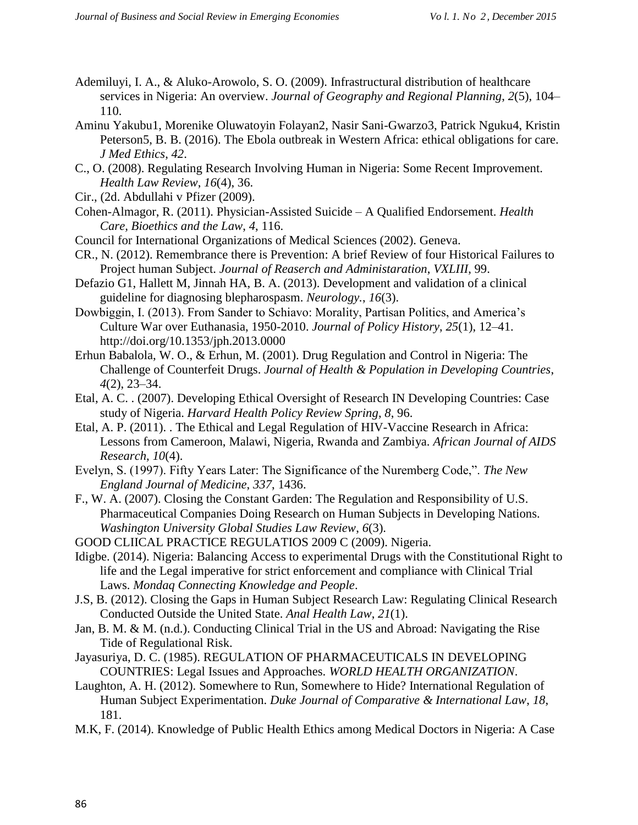- Ademiluyi, I. A., & Aluko-Arowolo, S. O. (2009). Infrastructural distribution of healthcare services in Nigeria: An overview. *Journal of Geography and Regional Planning*, *2*(5), 104– 110.
- Aminu Yakubu1, Morenike Oluwatoyin Folayan2, Nasir Sani-Gwarzo3, Patrick Nguku4, Kristin Peterson5, B. B. (2016). The Ebola outbreak in Western Africa: ethical obligations for care. *J Med Ethics*, *42*.
- C., O. (2008). Regulating Research Involving Human in Nigeria: Some Recent Improvement. *Health Law Review*, *16*(4), 36.
- Cir., (2d. Abdullahi v Pfizer (2009).
- Cohen-Almagor, R. (2011). Physician-Assisted Suicide A Qualified Endorsement. *Health Care, Bioethics and the Law*, *4*, 116.
- Council for International Organizations of Medical Sciences (2002). Geneva.
- CR., N. (2012). Remembrance there is Prevention: A brief Review of four Historical Failures to Project human Subject. *Journal of Reaserch and Administaration*, *VXLIII*, 99.
- Defazio G1, Hallett M, Jinnah HA, B. A. (2013). Development and validation of a clinical guideline for diagnosing blepharospasm. *Neurology.*, *16*(3).
- Dowbiggin, I. (2013). From Sander to Schiavo: Morality, Partisan Politics, and America's Culture War over Euthanasia, 1950-2010. *Journal of Policy History*, *25*(1), 12–41. http://doi.org/10.1353/jph.2013.0000
- Erhun Babalola, W. O., & Erhun, M. (2001). Drug Regulation and Control in Nigeria: The Challenge of Counterfeit Drugs. *Journal of Health & Population in Developing Countries*, *4*(2), 23–34.
- Etal, A. C. . (2007). Developing Ethical Oversight of Research IN Developing Countries: Case study of Nigeria. *Harvard Health Policy Review Spring*, *8*, 96.
- Etal, A. P. (2011). . The Ethical and Legal Regulation of HIV-Vaccine Research in Africa: Lessons from Cameroon, Malawi, Nigeria, Rwanda and Zambiya. *African Journal of AIDS Research*, *10*(4).
- Evelyn, S. (1997). Fifty Years Later: The Significance of the Nuremberg Code,". *The New England Journal of Medicine*, *337*, 1436.
- F., W. A. (2007). Closing the Constant Garden: The Regulation and Responsibility of U.S. Pharmaceutical Companies Doing Research on Human Subjects in Developing Nations. *Washington University Global Studies Law Review*, *6*(3).
- GOOD CLIICAL PRACTICE REGULATIOS 2009 C (2009). Nigeria.
- Idigbe. (2014). Nigeria: Balancing Access to experimental Drugs with the Constitutional Right to life and the Legal imperative for strict enforcement and compliance with Clinical Trial Laws. *Mondaq Connecting Knowledge and People*.
- J.S, B. (2012). Closing the Gaps in Human Subject Research Law: Regulating Clinical Research Conducted Outside the United State. *Anal Health Law*, *21*(1).
- Jan, B. M. & M. (n.d.). Conducting Clinical Trial in the US and Abroad: Navigating the Rise Tide of Regulational Risk.
- Jayasuriya, D. C. (1985). REGULATION OF PHARMACEUTICALS IN DEVELOPING COUNTRIES: Legal Issues and Approaches. *WORLD HEALTH ORGANIZATION*.
- Laughton, A. H. (2012). Somewhere to Run, Somewhere to Hide? International Regulation of Human Subject Experimentation. *Duke Journal of Comparative & International Law*, *18*, 181.
- M.K, F. (2014). Knowledge of Public Health Ethics among Medical Doctors in Nigeria: A Case